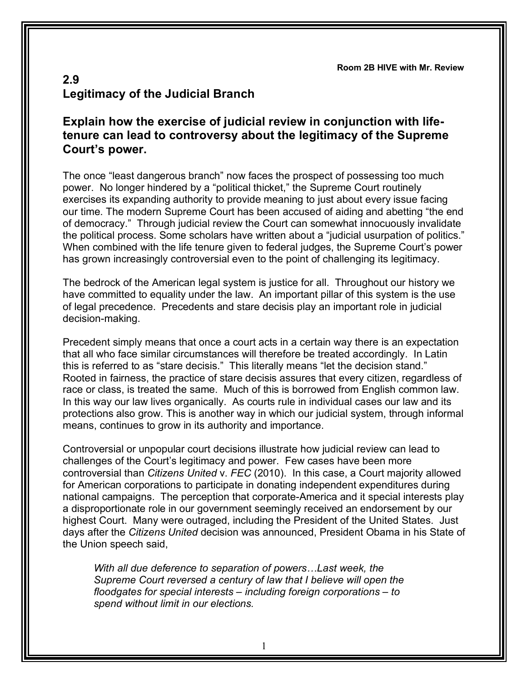**Room 2B HIVE with Mr. Review**

## **2.9 Legitimacy of the Judicial Branch**

## **Explain how the exercise of judicial review in conjunction with lifetenure can lead to controversy about the legitimacy of the Supreme Court's power.**

The once "least dangerous branch" now faces the prospect of possessing too much power. No longer hindered by a "political thicket," the Supreme Court routinely exercises its expanding authority to provide meaning to just about every issue facing our time. The modern Supreme Court has been accused of aiding and abetting "the end of democracy." Through judicial review the Court can somewhat innocuously invalidate the political process. Some scholars have written about a "judicial usurpation of politics." When combined with the life tenure given to federal judges, the Supreme Court's power has grown increasingly controversial even to the point of challenging its legitimacy.

The bedrock of the American legal system is justice for all. Throughout our history we have committed to equality under the law. An important pillar of this system is the use of legal precedence. Precedents and stare decisis play an important role in judicial decision-making.

Precedent simply means that once a court acts in a certain way there is an expectation that all who face similar circumstances will therefore be treated accordingly. In Latin this is referred to as "stare decisis." This literally means "let the decision stand." Rooted in fairness, the practice of stare decisis assures that every citizen, regardless of race or class, is treated the same. Much of this is borrowed from English common law. In this way our law lives organically. As courts rule in individual cases our law and its protections also grow. This is another way in which our judicial system, through informal means, continues to grow in its authority and importance.

Controversial or unpopular court decisions illustrate how judicial review can lead to challenges of the Court's legitimacy and power. Few cases have been more controversial than *Citizens United* v. *FEC* (2010). In this case, a Court majority allowed for American corporations to participate in donating independent expenditures during national campaigns. The perception that corporate-America and it special interests play a disproportionate role in our government seemingly received an endorsement by our highest Court. Many were outraged, including the President of the United States. Just days after the *Citizens United* decision was announced, President Obama in his State of the Union speech said,

*With all due deference to separation of powers…Last week, the Supreme Court reversed a century of law that I believe will open the floodgates for special interests – including foreign corporations – to spend without limit in our elections.*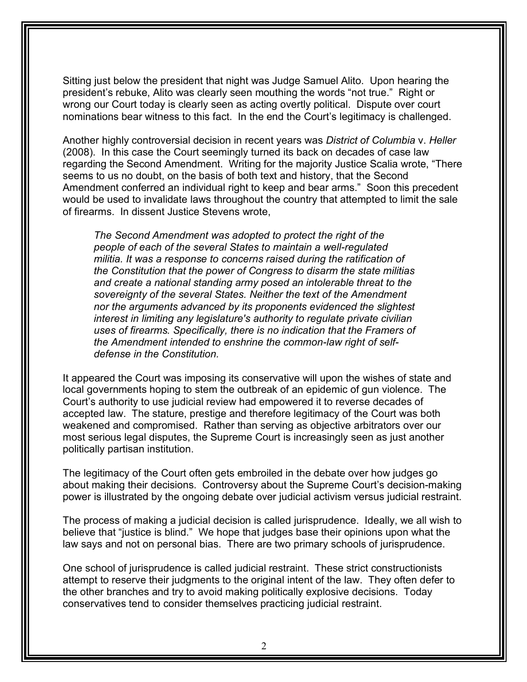Sitting just below the president that night was Judge Samuel Alito. Upon hearing the president's rebuke, Alito was clearly seen mouthing the words "not true." Right or wrong our Court today is clearly seen as acting overtly political. Dispute over court nominations bear witness to this fact. In the end the Court's legitimacy is challenged.

Another highly controversial decision in recent years was *District of Columbia* v. *Heller* (2008). In this case the Court seemingly turned its back on decades of case law regarding the Second Amendment. Writing for the majority Justice Scalia wrote, "There seems to us no doubt, on the basis of both text and history, that the Second Amendment conferred an individual right to keep and bear arms." Soon this precedent would be used to invalidate laws throughout the country that attempted to limit the sale of firearms. In dissent Justice Stevens wrote,

*The Second Amendment was adopted to protect the right of the people of each of the several States to maintain a well-regulated militia. It was a response to concerns raised during the ratification of the Constitution that the power of Congress to disarm the state militias and create a national standing army posed an intolerable threat to the sovereignty of the several States. Neither the text of the Amendment nor the arguments advanced by its proponents evidenced the slightest interest in limiting any legislature's authority to regulate private civilian uses of firearms. Specifically, there is no indication that the Framers of the Amendment intended to enshrine the common-law right of selfdefense in the Constitution.*

It appeared the Court was imposing its conservative will upon the wishes of state and local governments hoping to stem the outbreak of an epidemic of gun violence. The Court's authority to use judicial review had empowered it to reverse decades of accepted law. The stature, prestige and therefore legitimacy of the Court was both weakened and compromised. Rather than serving as objective arbitrators over our most serious legal disputes, the Supreme Court is increasingly seen as just another politically partisan institution.

The legitimacy of the Court often gets embroiled in the debate over how judges go about making their decisions. Controversy about the Supreme Court's decision-making power is illustrated by the ongoing debate over judicial activism versus judicial restraint.

The process of making a judicial decision is called jurisprudence. Ideally, we all wish to believe that "justice is blind." We hope that judges base their opinions upon what the law says and not on personal bias. There are two primary schools of jurisprudence.

One school of jurisprudence is called judicial restraint. These strict constructionists attempt to reserve their judgments to the original intent of the law. They often defer to the other branches and try to avoid making politically explosive decisions. Today conservatives tend to consider themselves practicing judicial restraint.